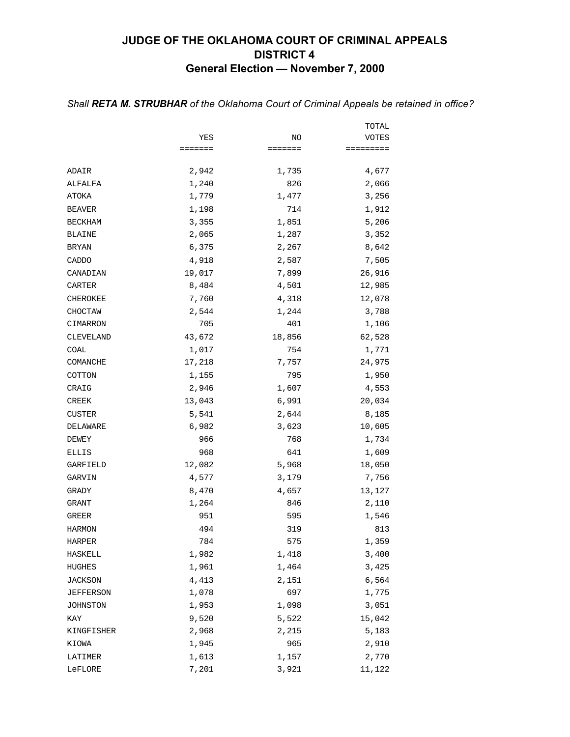## **JUDGE OF THE OKLAHOMA COURT OF CRIMINAL APPEALS DISTRICT 4 General Election — November 7, 2000**

|                |         |         | TOTAL               |
|----------------|---------|---------|---------------------|
|                | YES     | NO      | VOTES               |
|                | ======= | ======= | $=$ = = = = = = = = |
| ADAIR          | 2,942   | 1,735   | 4,677               |
| ALFALFA        | 1,240   | 826     | 2,066               |
| ATOKA          | 1,779   | 1,477   | 3,256               |
| <b>BEAVER</b>  | 1,198   | 714     | 1,912               |
| <b>BECKHAM</b> | 3,355   | 1,851   | 5,206               |
| <b>BLAINE</b>  | 2,065   | 1,287   | 3,352               |
| <b>BRYAN</b>   | 6,375   | 2,267   | 8,642               |
| CADDO          | 4,918   | 2,587   | 7,505               |
| CANADIAN       | 19,017  | 7,899   | 26,916              |
| CARTER         | 8,484   | 4,501   | 12,985              |
| CHEROKEE       | 7,760   | 4,318   | 12,078              |
| CHOCTAW        | 2,544   | 1,244   | 3,788               |
| CIMARRON       | 705     | 401     | 1,106               |
| CLEVELAND      | 43,672  | 18,856  | 62,528              |
| COAL           | 1,017   | 754     | 1,771               |
| COMANCHE       | 17,218  | 7,757   | 24,975              |
| COTTON         | 1,155   | 795     | 1,950               |
| CRAIG          | 2,946   | 1,607   | 4,553               |
| CREEK          | 13,043  | 6,991   | 20,034              |
| <b>CUSTER</b>  | 5,541   | 2,644   | 8,185               |
| DELAWARE       | 6,982   | 3,623   | 10,605              |
| DEWEY          | 966     | 768     | 1,734               |
| ELLIS          | 968     | 641     | 1,609               |
| GARFIELD       | 12,082  | 5,968   | 18,050              |
| GARVIN         | 4,577   | 3,179   | 7,756               |
| GRADY          | 8,470   | 4,657   | 13,127              |
| GRANT          | 1,264   | 846     | 2,110               |
| GREER          | 951     | 595     | 1,546               |
| <b>HARMON</b>  | 494     | 319     | 813                 |
| HARPER         | 784     | 575     | 1,359               |
| HASKELL        | 1,982   | 1,418   | 3,400               |
| HUGHES         | 1,961   | 1,464   | 3,425               |
| <b>JACKSON</b> | 4,413   | 2,151   | 6,564               |
| JEFFERSON      | 1,078   | 697     | 1,775               |
| JOHNSTON       | 1,953   | 1,098   | 3,051               |
| KAY            | 9,520   | 5,522   | 15,042              |
| KINGFISHER     | 2,968   | 2,215   | 5,183               |
| KIOWA          | 1,945   | 965     | 2,910               |
| LATIMER        | 1,613   | 1,157   | 2,770               |
| LeFLORE        | 7,201   | 3,921   | 11,122              |

#### *Shall RETA M. STRUBHAR of the Oklahoma Court of Criminal Appeals be retained in office?*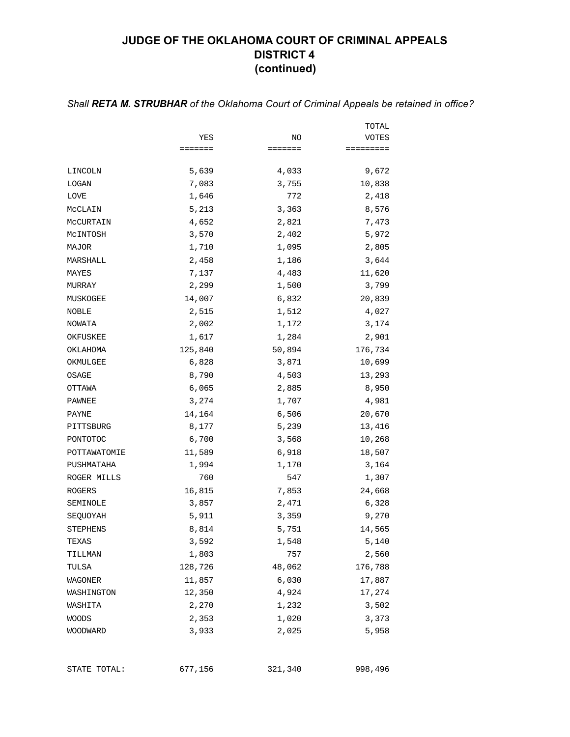## **JUDGE OF THE OKLAHOMA COURT OF CRIMINAL APPEALS DISTRICT 4 (continued)**

### *Shall RETA M. STRUBHAR of the Oklahoma Court of Criminal Appeals be retained in office?*

|                 |         |         | TOTAL     |
|-----------------|---------|---------|-----------|
|                 | YES     | NO      | VOTES     |
|                 | ======= | ======= | ========= |
| LINCOLN         | 5,639   | 4,033   | 9,672     |
| LOGAN           | 7,083   | 3,755   | 10,838    |
| LOVE            | 1,646   | 772     | 2,418     |
| MCCLAIN         | 5,213   | 3,363   | 8,576     |
| MCCURTAIN       | 4,652   | 2,821   | 7,473     |
| MCINTOSH        | 3,570   | 2,402   | 5,972     |
| MAJOR           | 1,710   | 1,095   | 2,805     |
| MARSHALL        | 2,458   | 1,186   | 3,644     |
| MAYES           | 7,137   | 4,483   | 11,620    |
| MURRAY          | 2,299   | 1,500   | 3,799     |
| MUSKOGEE        | 14,007  | 6,832   | 20,839    |
| NOBLE           | 2,515   | 1,512   | 4,027     |
| NOWATA          | 2,002   | 1,172   | 3,174     |
| OKFUSKEE        | 1,617   | 1,284   | 2,901     |
| OKLAHOMA        | 125,840 | 50,894  | 176,734   |
| OKMULGEE        | 6,828   | 3,871   | 10,699    |
| OSAGE           | 8,790   | 4,503   | 13,293    |
| OTTAWA          | 6,065   | 2,885   | 8,950     |
| PAWNEE          | 3,274   | 1,707   | 4,981     |
| PAYNE           | 14,164  | 6,506   | 20,670    |
| PITTSBURG       | 8,177   | 5,239   | 13,416    |
| PONTOTOC        | 6,700   | 3,568   | 10,268    |
| POTTAWATOMIE    | 11,589  | 6,918   | 18,507    |
| PUSHMATAHA      | 1,994   | 1,170   | 3,164     |
| ROGER MILLS     | 760     | 547     | 1,307     |
| <b>ROGERS</b>   | 16,815  | 7,853   | 24,668    |
| SEMINOLE        | 3,857   | 2,471   | 6,328     |
| SEQUOYAH        | 5,911   | 3,359   | 9,270     |
| <b>STEPHENS</b> | 8,814   | 5,751   | 14,565    |
| TEXAS           | 3,592   | 1,548   | 5,140     |
| TILLMAN         | 1,803   | 757     | 2,560     |
| TULSA           | 128,726 | 48,062  | 176,788   |
| WAGONER         | 11,857  | 6,030   | 17,887    |
| WASHINGTON      | 12,350  | 4,924   | 17,274    |
| WASHITA         | 2,270   | 1,232   | 3,502     |
| <b>WOODS</b>    | 2,353   | 1,020   | 3,373     |
| WOODWARD        | 3,933   | 2,025   | 5,958     |

STATE TOTAL: 677,156 321,340 998,496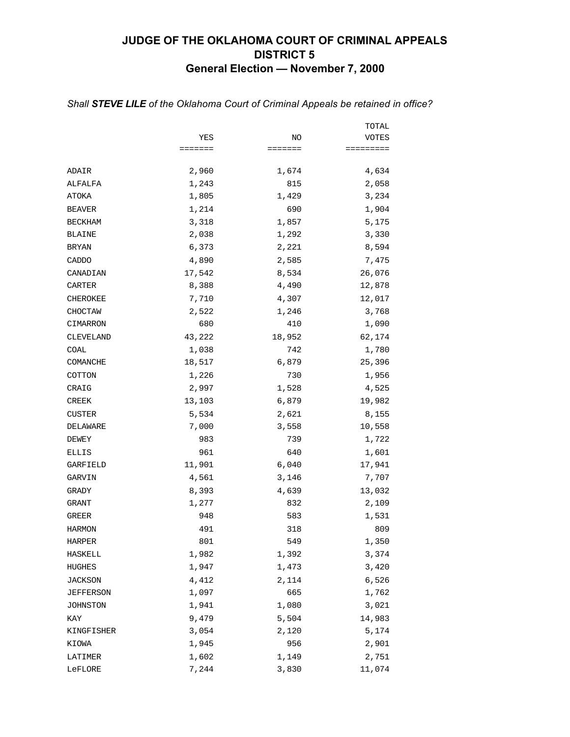## **JUDGE OF THE OKLAHOMA COURT OF CRIMINAL APPEALS DISTRICT 5 General Election — November 7, 2000**

|                 |         |         | TOTAL     |
|-----------------|---------|---------|-----------|
|                 | YES     | NO      | VOTES     |
|                 | ======= | ======= | ========= |
| ADAIR           | 2,960   | 1,674   | 4,634     |
| ALFALFA         | 1,243   | 815     | 2,058     |
| ATOKA           | 1,805   | 1,429   | 3,234     |
| <b>BEAVER</b>   | 1,214   | 690     | 1,904     |
| <b>BECKHAM</b>  | 3,318   | 1,857   | 5,175     |
| <b>BLAINE</b>   | 2,038   | 1,292   | 3,330     |
| <b>BRYAN</b>    | 6,373   | 2,221   | 8,594     |
| CADDO           | 4,890   | 2,585   | 7,475     |
| CANADIAN        | 17,542  | 8,534   | 26,076    |
| CARTER          | 8,388   | 4,490   | 12,878    |
| <b>CHEROKEE</b> | 7,710   | 4,307   | 12,017    |
| CHOCTAW         | 2,522   | 1,246   | 3,768     |
| CIMARRON        | 680     | 410     | 1,090     |
| CLEVELAND       | 43,222  | 18,952  | 62,174    |
| COAL            | 1,038   | 742     | 1,780     |
| COMANCHE        | 18,517  | 6,879   | 25,396    |
| COTTON          | 1,226   | 730     | 1,956     |
| CRAIG           | 2,997   | 1,528   | 4,525     |
| CREEK           | 13,103  | 6,879   | 19,982    |
| CUSTER          | 5,534   | 2,621   | 8,155     |
| DELAWARE        | 7,000   | 3,558   | 10,558    |
| DEWEY           | 983     | 739     | 1,722     |
| ELLIS           | 961     | 640     | 1,601     |
| GARFIELD        | 11,901  | 6,040   | 17,941    |
| GARVIN          | 4,561   | 3,146   | 7,707     |
| GRADY           | 8,393   | 4,639   | 13,032    |
| GRANT           | 1,277   | 832     | 2,109     |
| GREER           | 948     | 583     | 1,531     |
| <b>HARMON</b>   | 491     | 318     | 809       |
| HARPER          | 801     | 549     | 1,350     |
| HASKELL         | 1,982   | 1,392   | 3,374     |
| HUGHES          | 1,947   | 1,473   | 3,420     |
| <b>JACKSON</b>  | 4,412   | 2,114   | 6,526     |
| JEFFERSON       | 1,097   | 665     | 1,762     |
| JOHNSTON        | 1,941   | 1,080   | 3,021     |
| KAY             | 9,479   | 5,504   | 14,983    |
| KINGFISHER      | 3,054   | 2,120   | 5,174     |
| KIOWA           | 1,945   | 956     | 2,901     |
| LATIMER         | 1,602   | 1,149   | 2,751     |
| LeFLORE         | 7,244   | 3,830   | 11,074    |

### *Shall STEVE LILE of the Oklahoma Court of Criminal Appeals be retained in office?*